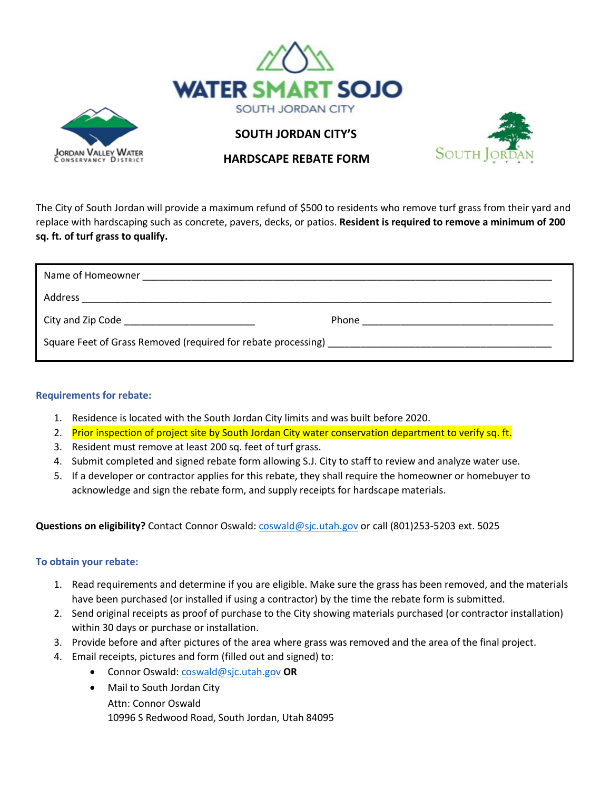



**SOUTH JORDAN CITY'S** 



 **HARDSCAPE REBATE FORM**

The City of South Jordan will provide a maximum refund of \$500 to residents who remove turf grass from their yard and replace with hardscaping such as concrete, pavers, decks, or patios. **Resident is required to remove a minimum of 200 sq. ft. of turf grass to qualify.**

| City and Zip Code _______________________________ |  |
|---------------------------------------------------|--|
|                                                   |  |

## **Requirements for rebate:**

- 1. Residence is located with the South Jordan City limits and was built before 2020.
- 2. Prior inspection of project site by South Jordan City water conservation department to verify sq. ft.
- 3. Resident must remove at least 200 sq. feet of turf grass.
- 4. Submit completed and signed rebate form allowing S.J. City to staff to review and analyze water use.
- 5. If a developer or contractor applies for this rebate, they shall require the homeowner or homebuyer to acknowledge and sign the rebate form, and supply receipts for hardscape materials.

**Questions on eligibility?** Contact Connor Oswald[: coswald@sjc.utah.gov](mailto:coswald@sjc.utah.gov) or call (801)253-5203 ext. 5025

## **To obtain your rebate:**

- 1. Read requirements and determine if you are eligible. Make sure the grass has been removed, and the materials have been purchased (or installed if using a contractor) by the time the rebate form is submitted.
- 2. Send original receipts as proof of purchase to the City showing materials purchased (or contractor installation) within 30 days or purchase or installation.
- 3. Provide before and after pictures of the area where grass was removed and the area of the final project.
- 4. Email receipts, pictures and form (filled out and signed) to:
	- Connor Oswald: [coswald@sjc.utah.gov](mailto:coswald@sjc.utah.gov) **OR**
	- Mail to South Jordan City Attn: Connor Oswald 10996 S Redwood Road, South Jordan, Utah 84095